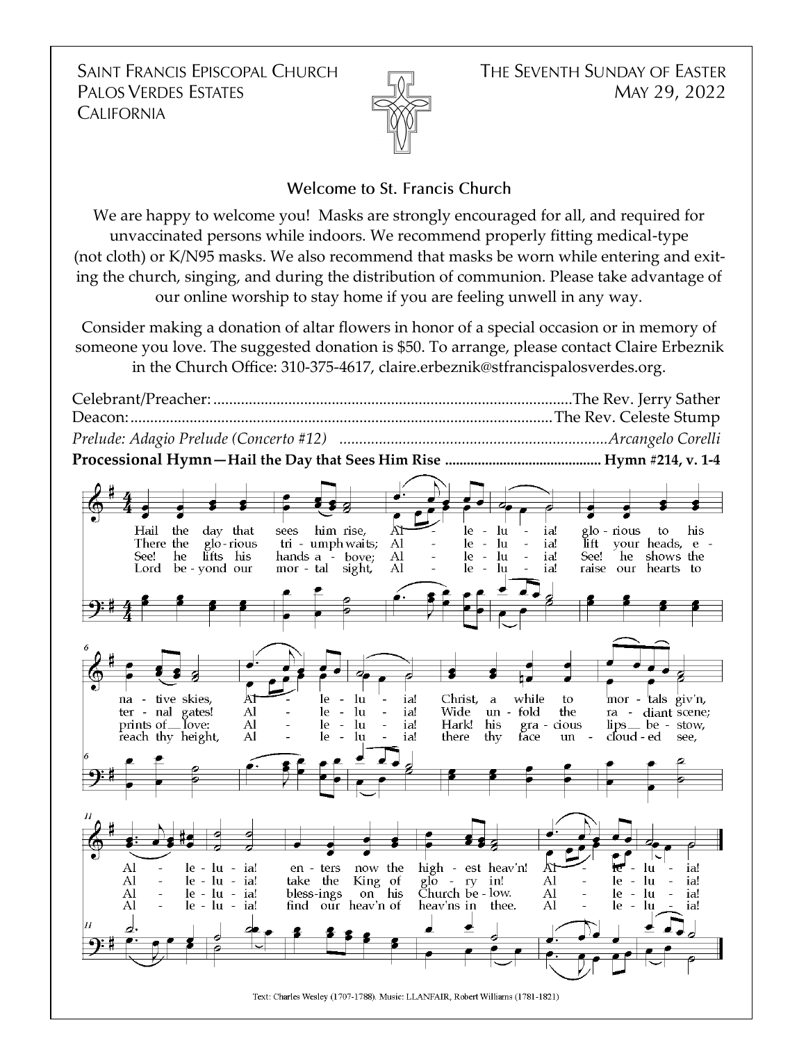**SAINT FRANCIS EPISCOPAL CHURCH PALOS VERDES ESTATES CALIFORNIA** 



THE SEVENTH SUNDAY OF EASTER MAY 29, 2022

## Welcome to St. Francis Church

We are happy to welcome you! Masks are strongly encouraged for all, and required for unvaccinated persons while indoors. We recommend properly fitting medical-type (not cloth) or K/N95 masks. We also recommend that masks be worn while entering and exiting the church, singing, and during the distribution of communion. Please take advantage of our online worship to stay home if you are feeling unwell in any way.

Consider making a donation of altar flowers in honor of a special occasion or in memory of someone you love. The suggested donation is \$50. To arrange, please contact Claire Erbeznik in the Church Office: 310-375-4617, claire.erbeznik@stfrancispalosverdes.org.

Celebrant/Preacher: ...........................................................................................The Rev. Jerry Sather Deacon:...........................................................................................................The Rev. Celeste Stump *Prelude: Adagio Prelude (Concerto #12) ....................................................................Arcangelo Corelli* **Processional Hymn—Hail the Day that Sees Him Rise ........................................... Hymn #214, v. 1-4** Hail the sees him rise, Ål day that glo - rious  $1e$ lu ial to his  $g$ lo-rious<br>lifts his There the tri - umphwaits;  $A1$  $le - lu$ ia lift your heads, e - $\begin{array}{ccc} \n\overline{\mathbf{le}} & - & \overline{\mathbf{lu}} \\ \n\mathbf{le} & - & \overline{\mathbf{lu}} \n\end{array}$ hands a - bove;<br>mor - tal sight, See! he  $\mathbf{A}$ l ial See! he shows the Lord be - yond our  $AI$ raise our hearts to ia! mor - tals giv'n, na - tive skies, Α1 le  $\sim$ -lu ia! Christ, a while to  $AI$ le - lu ter - nal gates! ia! Wide un - fold the ra - diant scene;  $\begin{bmatrix} 1 & 1 \\ 1 & 1 \\ 1 & 1 \end{bmatrix}$  $\mathbf{A}$ ia Hark! his prints of oullet gra - cious  $lips_{\rm \_}$  be - stow, reach thy height, Al ia there thy cloud - ed face  $un$ see, now the high - est heav'n! A٦ Al  $le - lu - ia!$ en - ters lu ia!  $le - lu - ia!$ take the  $g$ lo - ry in!  $le - lu$ Al King of Al ia!  $le - lu - ia!$ Church be - low. Al bless-ings on his Al  $le - lu$ ia!  $le - lu - ia!$ Al find our heav'n of heav'ns in thee. Al le -lu ia! Text: Charles Wesley (1707-1788). Music: LLANFAIR, Robert Williams (1781-1821)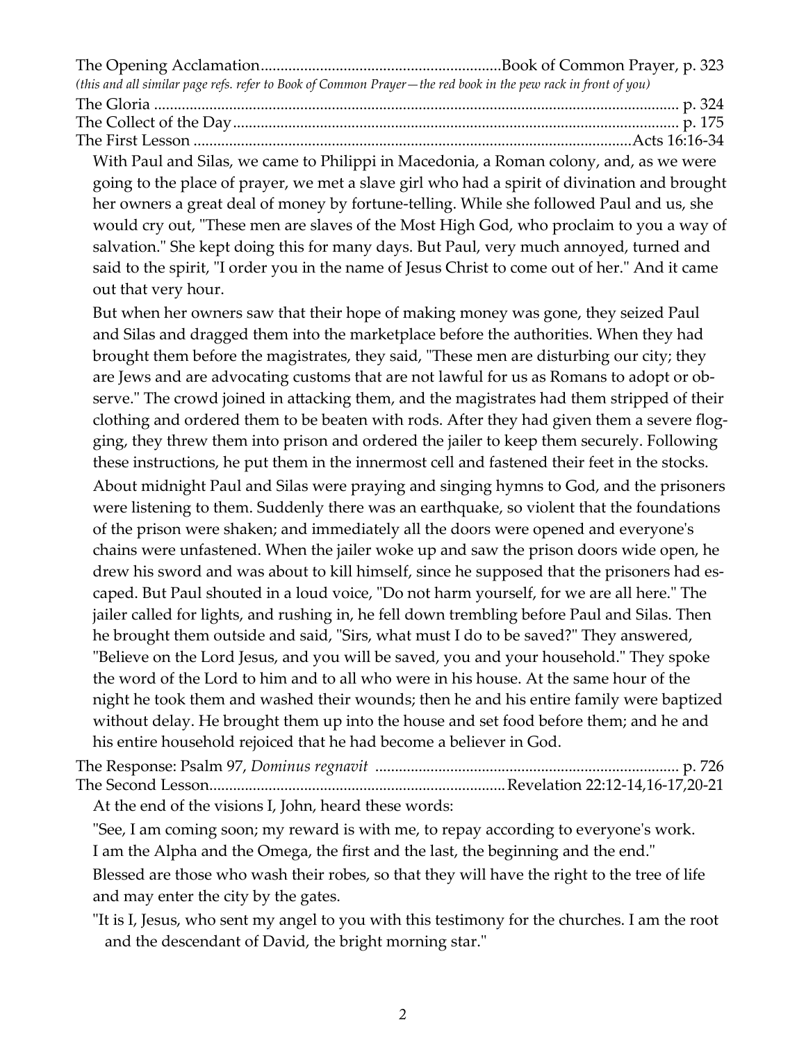The Opening Acclamation.............................................................Book of Common Prayer, p. 323 *(this and all similar page refs. refer to Book of Common Prayer—the red book in the pew rack in front of you)* The Gloria ..................................................................................................................................... p. 324 The Collect of the Day................................................................................................................. p. 175 The First Lesson ...............................................................................................................Acts 16:16-34

With Paul and Silas, we came to Philippi in Macedonia, a Roman colony, and, as we were going to the place of prayer, we met a slave girl who had a spirit of divination and brought her owners a great deal of money by fortune-telling. While she followed Paul and us, she would cry out, "These men are slaves of the Most High God, who proclaim to you a way of salvation." She kept doing this for many days. But Paul, very much annoyed, turned and said to the spirit, "I order you in the name of Jesus Christ to come out of her." And it came out that very hour.

But when her owners saw that their hope of making money was gone, they seized Paul and Silas and dragged them into the marketplace before the authorities. When they had brought them before the magistrates, they said, "These men are disturbing our city; they are Jews and are advocating customs that are not lawful for us as Romans to adopt or observe." The crowd joined in attacking them, and the magistrates had them stripped of their clothing and ordered them to be beaten with rods. After they had given them a severe flogging, they threw them into prison and ordered the jailer to keep them securely. Following these instructions, he put them in the innermost cell and fastened their feet in the stocks. About midnight Paul and Silas were praying and singing hymns to God, and the prisoners were listening to them. Suddenly there was an earthquake, so violent that the foundations of the prison were shaken; and immediately all the doors were opened and everyone's chains were unfastened. When the jailer woke up and saw the prison doors wide open, he drew his sword and was about to kill himself, since he supposed that the prisoners had escaped. But Paul shouted in a loud voice, "Do not harm yourself, for we are all here." The jailer called for lights, and rushing in, he fell down trembling before Paul and Silas. Then he brought them outside and said, "Sirs, what must I do to be saved?" They answered, "Believe on the Lord Jesus, and you will be saved, you and your household." They spoke the word of the Lord to him and to all who were in his house. At the same hour of the night he took them and washed their wounds; then he and his entire family were baptized without delay. He brought them up into the house and set food before them; and he and his entire household rejoiced that he had become a believer in God.

| and the second to the second the second to the second the second terms of the second terms of the second terms of the second terms of the second terms of the second terms of the second terms of the second terms of the seco |  |  |  |  |
|--------------------------------------------------------------------------------------------------------------------------------------------------------------------------------------------------------------------------------|--|--|--|--|

At the end of the visions I, John, heard these words:

"See, I am coming soon; my reward is with me, to repay according to everyone's work. I am the Alpha and the Omega, the first and the last, the beginning and the end." Blessed are those who wash their robes, so that they will have the right to the tree of life and may enter the city by the gates.

"It is I, Jesus, who sent my angel to you with this testimony for the churches. I am the root and the descendant of David, the bright morning star."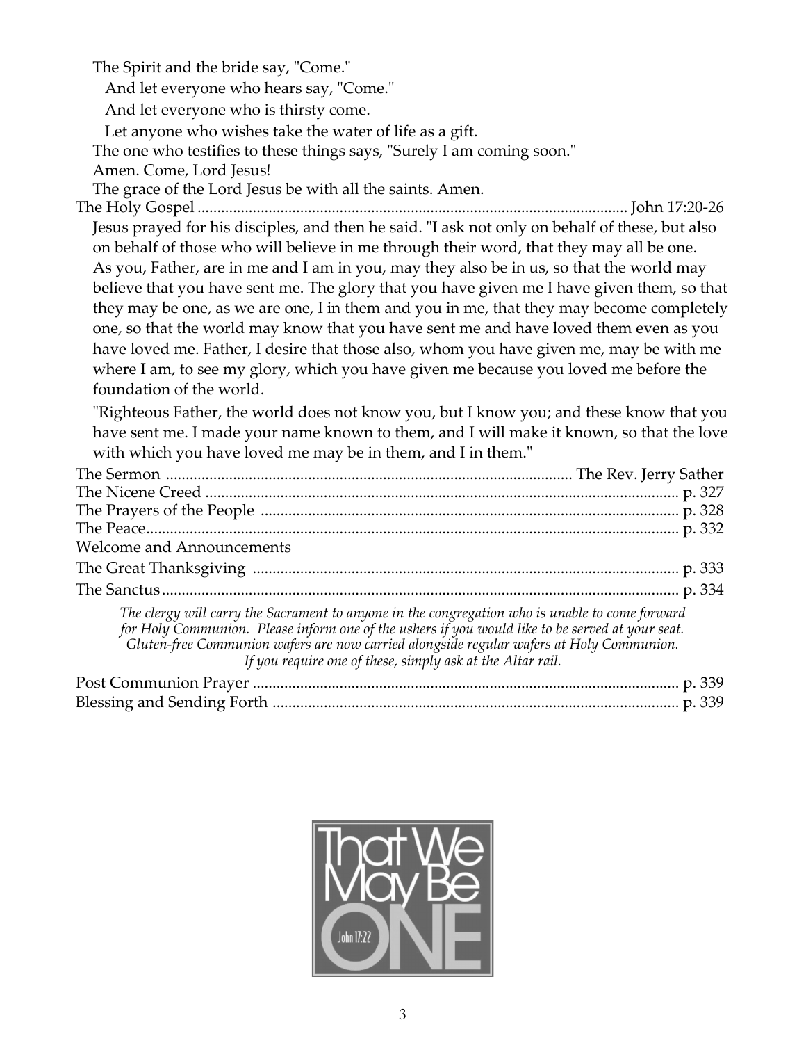| The Spirit and the bride say, "Come."<br>And let everyone who hears say, "Come."<br>And let everyone who is thirsty come.<br>Let anyone who wishes take the water of life as a gift.                                                                                                                                                                                                                                                                                                                                                                                                                                                                                                                                                                                                                                                                                                                                                                                           |
|--------------------------------------------------------------------------------------------------------------------------------------------------------------------------------------------------------------------------------------------------------------------------------------------------------------------------------------------------------------------------------------------------------------------------------------------------------------------------------------------------------------------------------------------------------------------------------------------------------------------------------------------------------------------------------------------------------------------------------------------------------------------------------------------------------------------------------------------------------------------------------------------------------------------------------------------------------------------------------|
| The one who testifies to these things says, "Surely I am coming soon."                                                                                                                                                                                                                                                                                                                                                                                                                                                                                                                                                                                                                                                                                                                                                                                                                                                                                                         |
| Amen. Come, Lord Jesus!                                                                                                                                                                                                                                                                                                                                                                                                                                                                                                                                                                                                                                                                                                                                                                                                                                                                                                                                                        |
| The grace of the Lord Jesus be with all the saints. Amen.                                                                                                                                                                                                                                                                                                                                                                                                                                                                                                                                                                                                                                                                                                                                                                                                                                                                                                                      |
| Jesus prayed for his disciples, and then he said. "I ask not only on behalf of these, but also<br>on behalf of those who will believe in me through their word, that they may all be one.<br>As you, Father, are in me and I am in you, may they also be in us, so that the world may<br>believe that you have sent me. The glory that you have given me I have given them, so that<br>they may be one, as we are one, I in them and you in me, that they may become completely<br>one, so that the world may know that you have sent me and have loved them even as you<br>have loved me. Father, I desire that those also, whom you have given me, may be with me<br>where I am, to see my glory, which you have given me because you loved me before the<br>foundation of the world.<br>"Righteous Father, the world does not know you, but I know you; and these know that you<br>have sent me. I made your name known to them, and I will make it known, so that the love |
| with which you have loved me may be in them, and I in them."                                                                                                                                                                                                                                                                                                                                                                                                                                                                                                                                                                                                                                                                                                                                                                                                                                                                                                                   |
|                                                                                                                                                                                                                                                                                                                                                                                                                                                                                                                                                                                                                                                                                                                                                                                                                                                                                                                                                                                |
|                                                                                                                                                                                                                                                                                                                                                                                                                                                                                                                                                                                                                                                                                                                                                                                                                                                                                                                                                                                |
| <b>Welcome and Announcements</b>                                                                                                                                                                                                                                                                                                                                                                                                                                                                                                                                                                                                                                                                                                                                                                                                                                                                                                                                               |
|                                                                                                                                                                                                                                                                                                                                                                                                                                                                                                                                                                                                                                                                                                                                                                                                                                                                                                                                                                                |
|                                                                                                                                                                                                                                                                                                                                                                                                                                                                                                                                                                                                                                                                                                                                                                                                                                                                                                                                                                                |
| The clergy will carry the Sacrament to anyone in the congregation who is unable to come forward<br>for Holy Communion. Please inform one of the ushers if you would like to be served at your seat.<br>Gluten-free Communion wafers are now carried alongside regular wafers at Holy Communion.<br>If you require one of these, simply ask at the Altar rail.                                                                                                                                                                                                                                                                                                                                                                                                                                                                                                                                                                                                                  |